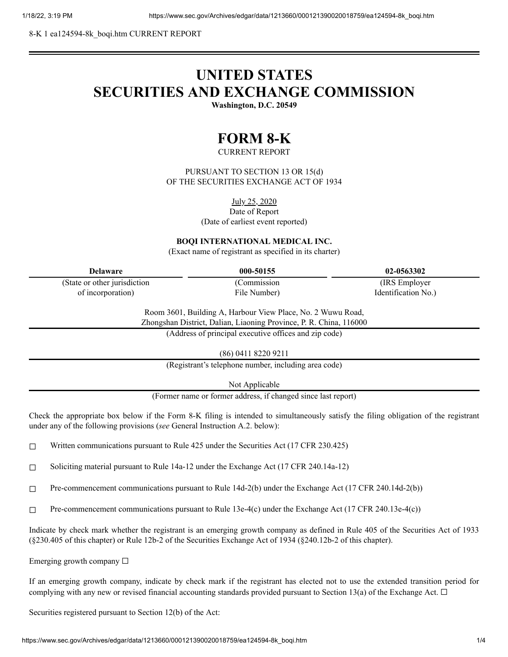8-K 1 ea124594-8k\_boqi.htm CURRENT REPORT

# **UNITED STATES SECURITIES AND EXCHANGE COMMISSION**

**Washington, D.C. 20549**

## **FORM 8-K**

CURRENT REPORT

PURSUANT TO SECTION 13 OR 15(d) OF THE SECURITIES EXCHANGE ACT OF 1934

July 25, 2020

Date of Report

(Date of earliest event reported)

#### **BOQI INTERNATIONAL MEDICAL INC.**

(Exact name of registrant as specified in its charter)

| Delaware                      | 000-50155    | 02-0563302          |
|-------------------------------|--------------|---------------------|
| (State or other jurisdiction) | Commission   | (IRS Employer)      |
| of incorporation)             | File Number) | Identification No.) |

Room 3601, Building A, Harbour View Place, No. 2 Wuwu Road, Zhongshan District, Dalian, Liaoning Province, P. R. China, 116000

(Address of principal executive offices and zip code)

(86) 0411 8220 9211

(Registrant's telephone number, including area code)

Not Applicable

(Former name or former address, if changed since last report)

Check the appropriate box below if the Form 8-K filing is intended to simultaneously satisfy the filing obligation of the registrant under any of the following provisions (*see* General Instruction A.2. below):

 $\Box$  Written communications pursuant to Rule 425 under the Securities Act (17 CFR 230.425)

☐ Soliciting material pursuant to Rule 14a-12 under the Exchange Act (17 CFR 240.14a-12)

☐ Pre-commencement communications pursuant to Rule 14d-2(b) under the Exchange Act (17 CFR 240.14d-2(b))

☐ Pre-commencement communications pursuant to Rule 13e-4(c) under the Exchange Act (17 CFR 240.13e-4(c))

Indicate by check mark whether the registrant is an emerging growth company as defined in Rule 405 of the Securities Act of 1933 (§230.405 of this chapter) or Rule 12b-2 of the Securities Exchange Act of 1934 (§240.12b-2 of this chapter).

Emerging growth company  $\Box$ 

If an emerging growth company, indicate by check mark if the registrant has elected not to use the extended transition period for complying with any new or revised financial accounting standards provided pursuant to Section 13(a) of the Exchange Act.  $\Box$ 

Securities registered pursuant to Section 12(b) of the Act: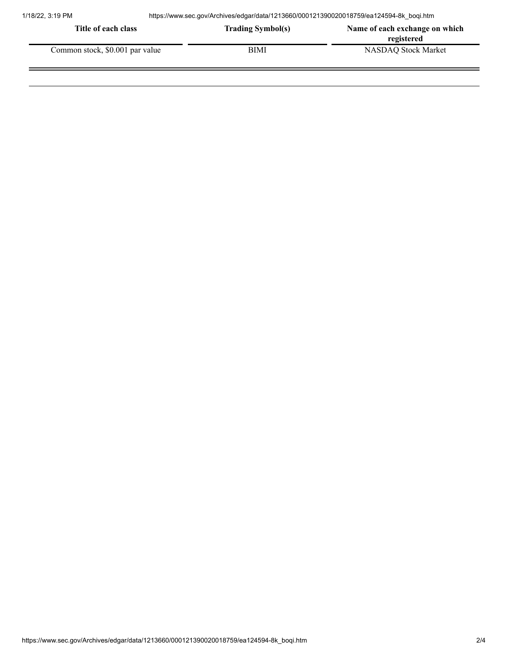| Title of each class             | <b>Trading Symbol(s)</b> | Name of each exchange on which |
|---------------------------------|--------------------------|--------------------------------|
|                                 |                          | registered                     |
| Common stock, \$0.001 par value | BIMI                     | NASDAO Stock Market            |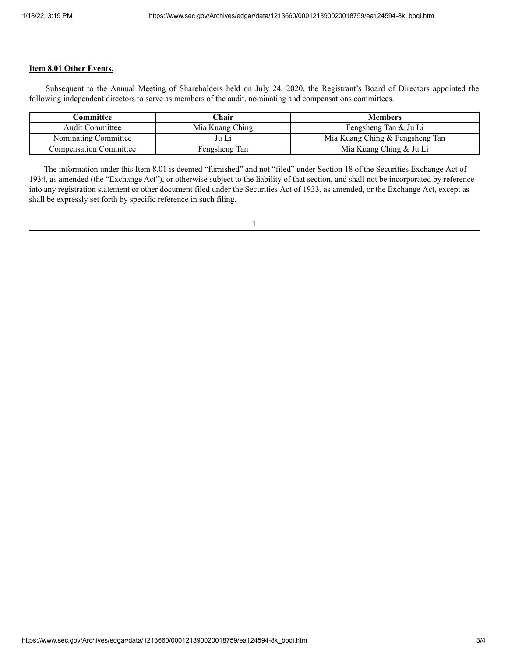### **Item 8.01 Other Events.**

Subsequent to the Annual Meeting of Shareholders held on July 24, 2020, the Registrant's Board of Directors appointed the following independent directors to serve as members of the audit, nominating and compensations committees.

| Committee                     | ⊡hair           | <b>Members</b>                  |
|-------------------------------|-----------------|---------------------------------|
| <b>Audit Committee</b>        | Mia Kuang Ching | Fengsheng Tan & Ju Li           |
| Nominating Committee          | Ju Li           | Mia Kuang Ching & Fengsheng Tan |
| <b>Compensation Committee</b> | Fengsheng Tan   | Mia Kuang Ching & Ju Li         |

The information under this Item 8.01 is deemed "furnished" and not "filed" under Section 18 of the Securities Exchange Act of 1934, as amended (the "Exchange Act"), or otherwise subject to the liability of that section, and shall not be incorporated by reference into any registration statement or other document filed under the Securities Act of 1933, as amended, or the Exchange Act, except as shall be expressly set forth by specific reference in such filing.

1